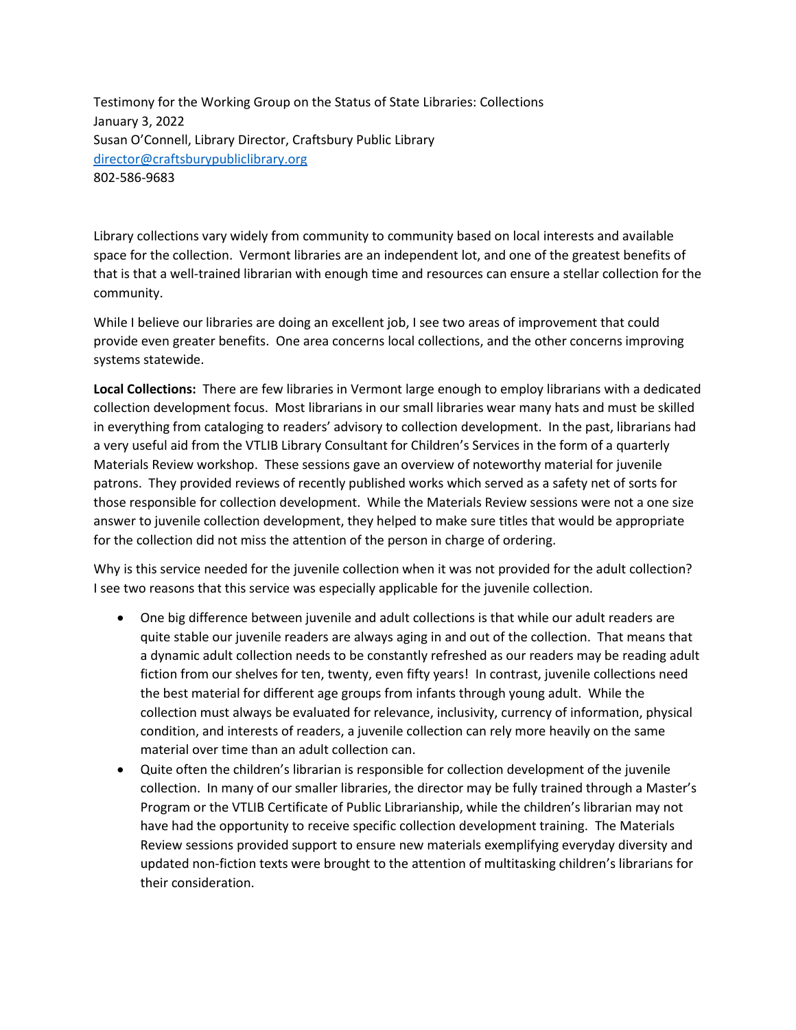Testimony for the Working Group on the Status of State Libraries: Collections January 3, 2022 Susan O'Connell, Library Director, Craftsbury Public Library [director@craftsburypubliclibrary.org](mailto:director@craftsburypubliclibrary.org) 802-586-9683

Library collections vary widely from community to community based on local interests and available space for the collection. Vermont libraries are an independent lot, and one of the greatest benefits of that is that a well-trained librarian with enough time and resources can ensure a stellar collection for the community.

While I believe our libraries are doing an excellent job, I see two areas of improvement that could provide even greater benefits. One area concerns local collections, and the other concerns improving systems statewide.

**Local Collections:** There are few libraries in Vermont large enough to employ librarians with a dedicated collection development focus. Most librarians in our small libraries wear many hats and must be skilled in everything from cataloging to readers' advisory to collection development. In the past, librarians had a very useful aid from the VTLIB Library Consultant for Children's Services in the form of a quarterly Materials Review workshop. These sessions gave an overview of noteworthy material for juvenile patrons. They provided reviews of recently published works which served as a safety net of sorts for those responsible for collection development. While the Materials Review sessions were not a one size answer to juvenile collection development, they helped to make sure titles that would be appropriate for the collection did not miss the attention of the person in charge of ordering.

Why is this service needed for the juvenile collection when it was not provided for the adult collection? I see two reasons that this service was especially applicable for the juvenile collection.

- One big difference between juvenile and adult collections is that while our adult readers are quite stable our juvenile readers are always aging in and out of the collection. That means that a dynamic adult collection needs to be constantly refreshed as our readers may be reading adult fiction from our shelves for ten, twenty, even fifty years! In contrast, juvenile collections need the best material for different age groups from infants through young adult. While the collection must always be evaluated for relevance, inclusivity, currency of information, physical condition, and interests of readers, a juvenile collection can rely more heavily on the same material over time than an adult collection can.
- Quite often the children's librarian is responsible for collection development of the juvenile collection. In many of our smaller libraries, the director may be fully trained through a Master's Program or the VTLIB Certificate of Public Librarianship, while the children's librarian may not have had the opportunity to receive specific collection development training. The Materials Review sessions provided support to ensure new materials exemplifying everyday diversity and updated non-fiction texts were brought to the attention of multitasking children's librarians for their consideration.